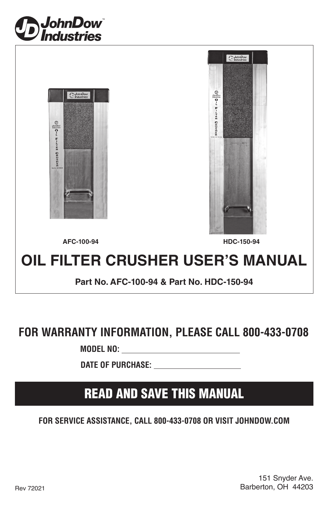





**AFC-100-94 HDC-150-94**

# **OIL FILTER CRUSHER USER'S MANUAL**

**Part No. AFC-100-94 & Part No. HDC-150-94**

# **FOR WARRANTY INFORMATION, PLEASE CALL 800-433-0708**

 **MODEL NO:** 

 **DATE OF PURCHASE:** 

# READ AND SAVE THIS MANUAL

**FOR SERVICE ASSISTANCE, CALL 800-433-0708 OR VISIT JOHNDOW.COM**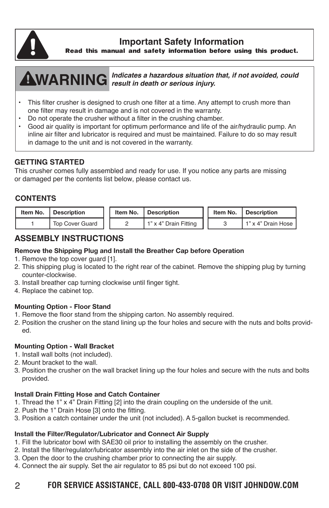

**Important Safety Information**

**Read this manual and safety information before using this product.**

**WARNING** *result in death or serious injury. Indicates a hazardous situation that, if not avoided, could* 

- This filter crusher is designed to crush one filter at a time. Any attempt to crush more than one filter may result in damage and is not covered in the warranty.
- Do not operate the crusher without a filter in the crushing chamber.<br>• Good six quality is important for optimum performance and life of the
- Good air quality is important for optimum performance and life of the air/hydraulic pump. An inline air filter and lubricator is required and must be maintained. Failure to do so may result in damage to the unit and is not covered in the warranty.

# **GETTING STARTED**

This crusher comes fully assembled and ready for use. If you notice any parts are missing or damaged per the contents list below, please contact us.

#### **CONTENTS**

| Item No. | <b>I</b> Description   | Item No. | Description           |  | Item No.   Description |
|----------|------------------------|----------|-----------------------|--|------------------------|
|          | <b>Top Cover Guard</b> |          | 1" x 4" Drain Fitting |  | I 1" x 4" Drain Hose I |

### **ASSEMBLY INSTRUCTIONS**

#### Remove the Shipping Plug and Install the Breather Cap before Operation

- 1. Remove the top cover guard [1].
- 2. This shipping plug is located to the right rear of the cabinet. Remove the shipping plug by turning counter-clockwise.
- 3. Install breather cap turning clockwise until finger tight.
- 4. Replace the cabinet top.

#### Mounting Option - Floor Stand

- 1. Remove the floor stand from the shipping carton. No assembly required.
- 2. Position the crusher on the stand lining up the four holes and secure with the nuts and bolts provided.

#### Mounting Option - Wall Bracket

- 1. Install wall bolts (not included).
- 2. Mount bracket to the wall.
- 3. Position the crusher on the wall bracket lining up the four holes and secure with the nuts and bolts provided.

#### Install Drain Fitting Hose and Catch Container

- 1. Thread the 1" x 4" Drain Fitting [2] into the drain coupling on the underside of the unit.
- 2. Push the 1" Drain Hose [3] onto the fitting.
- 3. Position a catch container under the unit (not included). A 5-gallon bucket is recommended.

#### Install the Filter/Regulator/Lubricator and Connect Air Supply

- 1. Fill the lubricator bowl with SAE30 oil prior to installing the assembly on the crusher.
- 2. Install the filter/regulator/lubricator assembly into the air inlet on the side of the crusher.
- 3. Open the door to the crushing chamber prior to connecting the air supply.
- 4. Connect the air supply. Set the air regulator to 85 psi but do not exceed 100 psi.

## 2 **FOR SERVICE ASSISTANCE, CALL 800-433-0708 OR VISIT JOHNDOW.COM**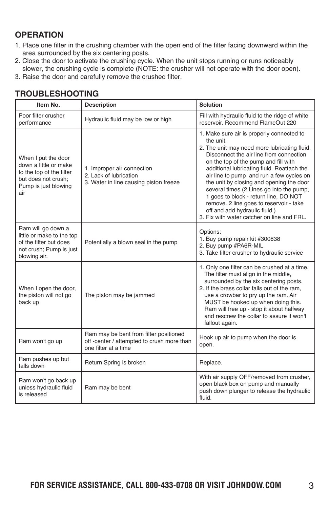## **OPERATION**

- 1. Place one filter in the crushing chamber with the open end of the filter facing downward within the area surrounded by the six centering posts.
- 2. Close the door to activate the crushing cycle. When the unit stops running or runs noticeably slower, the crushing cycle is complete (NOTE: the crusher will not operate with the door open).
- 3. Raise the door and carefully remove the crushed filter.

| Item No.                                                                                                                       | <b>Description</b>                                                                                           | <b>Solution</b>                                                                                                                                                                                                                                                                                                                                                                                                                                                                                                                                |  |  |
|--------------------------------------------------------------------------------------------------------------------------------|--------------------------------------------------------------------------------------------------------------|------------------------------------------------------------------------------------------------------------------------------------------------------------------------------------------------------------------------------------------------------------------------------------------------------------------------------------------------------------------------------------------------------------------------------------------------------------------------------------------------------------------------------------------------|--|--|
| Poor filter crusher<br>performance                                                                                             | Hydraulic fluid may be low or high                                                                           | Fill with hydraulic fluid to the ridge of white<br>reservoir. Recommend FlameOut 220                                                                                                                                                                                                                                                                                                                                                                                                                                                           |  |  |
| When I put the door<br>down a little or make<br>to the top of the filter<br>but does not crush;<br>Pump is just blowing<br>air | 1. Improper air connection<br>2. Lack of lubrication<br>3. Water in line causing piston freeze               | 1. Make sure air is properly connected to<br>the unit.<br>2. The unit may need more lubricating fluid.<br>Disconnect the air line from connection<br>on the top of the pump and fill with<br>additional lubricating fluid. Reattach the<br>air line to pump and run a few cycles on<br>the unit by closing and opening the door<br>several times (2 Lines go into the pump,<br>1 goes to block - return line, DO NOT<br>remove. 2 line goes to reservoir - take<br>off and add hydraulic fluid.)<br>3. Fix with water catcher on line and FRL. |  |  |
| Ram will go down a<br>little or make to the top<br>of the filter but does<br>not crush; Pump is just<br>blowing air.           | Potentially a blown seal in the pump                                                                         | Options:<br>1. Buy pump repair kit #300838<br>2. Buy pump #PA6R-MIL<br>3. Take filter crusher to hydraulic service                                                                                                                                                                                                                                                                                                                                                                                                                             |  |  |
| When I open the door,<br>the piston will not go<br>back up                                                                     | The piston may be jammed                                                                                     | 1. Only one filter can be crushed at a time.<br>The filter must align in the middle,<br>surrounded by the six centering posts.<br>2. If the brass collar falls out of the ram,<br>use a crowbar to pry up the ram. Air<br>MUST be hooked up when doing this.<br>Ram will free up - stop it about halfway<br>and rescrew the collar to assure it won't<br>fallout again.                                                                                                                                                                        |  |  |
| Ram won't go up                                                                                                                | Ram may be bent from filter positioned<br>off -center / attempted to crush more than<br>one filter at a time | Hook up air to pump when the door is<br>open.                                                                                                                                                                                                                                                                                                                                                                                                                                                                                                  |  |  |
| Ram pushes up but<br>falls down                                                                                                | Return Spring is broken                                                                                      | Replace.                                                                                                                                                                                                                                                                                                                                                                                                                                                                                                                                       |  |  |
| Ram won't go back up<br>unless hydraulic fluid<br>is released                                                                  | Ram may be bent                                                                                              | With air supply OFF/removed from crusher,<br>open black box on pump and manually<br>push down plunger to release the hydraulic<br>fluid.                                                                                                                                                                                                                                                                                                                                                                                                       |  |  |

# **TROUBLESHOOTING**